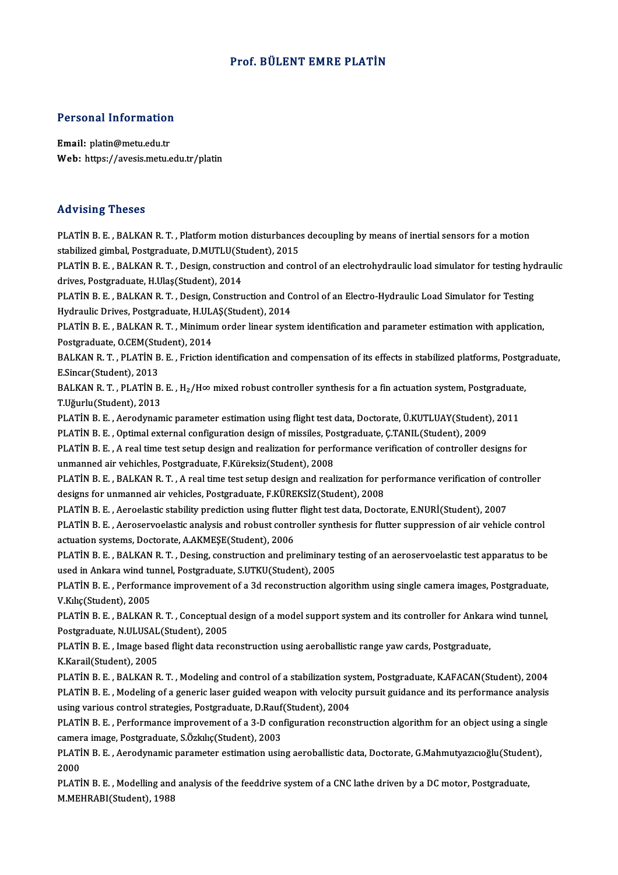#### Prof. BÜLENT EMRE PLATİN

# Personal Information

Personal Information<br>Email: platin@metu.edu.tr<br>Web: https://avesis.metu.e Email: platin@metu.edu.tr<br>Web: https://avesis.metu.edu.tr/platin

#### Advising Theses

Advising Theses<br>PLATİN B. E. , BALKAN R. T. , Platform motion disturbances decoupling by means of inertial sensors for a motion<br>stabilized simbel. Pestanduate, D. MITI U(Student), 2015 stabilized gimbal, Phatform motion disturbance:<br>PLATİN B. E. , BALKAN R. T. , Platform motion disturbance:<br>Stabilized gimbal, Postgraduate, D.MUTLU(Student), 2015<br>PLATİN B. E., PALKAN B. T., Dosism construction and son PLATİN B. E. , BALKAN R. T. , Platform motion disturbances decoupling by means of inertial sensors for a motion<br>stabilized gimbal, Postgraduate, D.MUTLU(Student), 2015<br>PLATİN B. E. , BALKAN R. T. , Design, construction and stabilized gimbal, Postgraduate, D.MUTLU(St<br>PLATİN B. E. , BALKAN R. T. , Design, constru<br>drives, Postgraduate, H.Ulaş(Student), 2014<br>PLATİN B. E., BALKAN B. T., Design, Constru PLATİN B. E. , BALKAN R. T. , Design, construction and control of an electrohydraulic load simulator for testing hyd<br>drives, Postgraduate, H.Ulaş(Student), 2014<br>PLATİN B. E. , BALKAN R. T. , Design, Construction and Contro drives, Postgraduate, H.Ulaş(Student), 2014<br>PLATİN B. E. , BALKAN R. T. , Design, Construction and Control of an Electro-Hydraulic Load Simulator for Testing PLATIN B. E., BALKAN R.T., Minimum order linear system identification and parameter estimation with application, Postgraduate, O.CEM(Student), 2014 Hydraulic Drives, Postgraduate, H.ULAŞ(Student), 2014 PLATİN B. E. , BALKAN R. T. , Minimum order linear system identification and parameter estimation with application,<br>Postgraduate, O.CEM(Student), 2014<br>BALKAN R. T. , PLATİN B. E. , Friction identification and compensation Postgraduate, O.CEM(Stu<br>BALKAN R. T. , PLATİN B<br>E.Sincar(Student), 2013<br>BALKAN B. T. , BLATİN B BALKAN R. T. , PLATİN B. E. , Friction identification and compensation of its effects in stabilized platforms, Postgr<br>E.Sincar(Student), 2013<br>BALKAN R. T. , PLATİN B. E. , H<sub>2</sub>/H∞ mixed robust controller synthesis for a f E.Sincar(Student), 2013<br>BALKAN R. T. , PLATİN B. E. , H<sub>2</sub>/H∞ mixed robust controller synthesis for a fin actuation system, Postgraduate,<br>T.Uğurlu(Student), 2013 BALKAN R. T. , PLATİN B. E. , H<sub>2</sub>/H∞ mixed robust controller synthesis for a fin actuation system, Postgraduate<br>T.Uğurlu(Student), 2013<br>PLATİN B. E. , Aerodynamic parameter estimation using flight test data, Doctorate, Ü T.Uğurlu(Student), 2013<br>PLATİN B. E. , Aerodynamic parameter estimation using flight test data, Doctorate, Ü.KUTLUAY(Student)<br>PLATİN B. E. , Optimal external configuration design of missiles, Postgraduate, Ç.TANIL(Student) PLATİN B. E. , Aerodynamic parameter estimation using flight test data, Doctorate, Ü.KUTLUAY(Student), 2011<br>PLATİN B. E. , Optimal external configuration design of missiles, Postgraduate, Ç.TANIL(Student), 2009<br>PLATİN B. E PLATIN B. E. , Optimal external configuration design of missiles, Po<br>PLATIN B. E. , A real time test setup design and realization for perf<br>unmanned air vehichles, Postgraduate, F.Küreksiz(Student), 2008<br>BLATIN B. E. BALKAN PLATİN B. E. , A real time test setup design and realization for performance verification of controller designs for<br>unmanned air vehichles, Postgraduate, F.Küreksiz(Student), 2008<br>PLATİN B. E. , BALKAN R. T. , A real time unmanned air vehichles, Postgraduate, F.Küreksiz(Student), 2008<br>PLATİN B. E. , BALKAN R. T. , A real time test setup design and realization for p<br>designs for unmanned air vehicles, Postgraduate, F.KÜREKSİZ(Student), 2008 PLATİN B. E. , BALKAN R. T. , A real time test setup design and realization for performance verification of co<br>designs for unmanned air vehicles, Postgraduate, F.KÜREKSİZ(Student), 2008<br>PLATİN B. E. , Aeroelastic stability PLATIN B. E., Aeroservoelastic analysis and robust controller synthesis for flutter suppression of air vehicle control actuation systems, Doctorate, A.AKMESE(Student), 2006 PLATIN B. E., Aeroelastic stability prediction using flutter flight test data, Doctorate, E.NURI(Student), 2007 PLATİN B. E. , Aeroservoelastic analysis and robust controller synthesis for flutter suppression of air vehicle control<br>actuation systems, Doctorate, A.AKMEŞE(Student), 2006<br>PLATİN B. E. , BALKAN R. T. , Desing, constructi actuation systems, Doctorate, A.AKMEŞE(Student), 2006<br>PLATİN B. E. , BALKAN R. T. , Desing, construction and preliminary<br>used in Ankara wind tunnel, Postgraduate, S.UTKU(Student), 2005<br>BLATİN B. E., Porformange imprevement PLATİN B. E. , BALKAN R. T. , Desing, construction and preliminary testing of an aeroservoelastic test apparatus to be<br>used in Ankara wind tunnel, Postgraduate, S.UTKU(Student), 2005<br>PLATİN B. E. , Performance improvement used in Ankara wind tunnel, Postgraduate, S.UTKU(Student), 2005<br>PLATİN B. E. , Performance improvement of a 3d reconstruction al<br>V.Kılıç(Student), 2005 PLATIN B. E. , Performance improvement of a 3d reconstruction algorithm using single camera images, Postgraduate, V.Kılıç(Student), 2005<br>PLATIN B. E. , BALKAN R. T. , Conceptual design of a model support system and its con PLATIN B. E., BALKAN R. T., Conceptual design of a model support system and its controller for Ankara wind tunnel, PLATİN B. E. , BALKAN R. T. , Conceptual design of a model support system and its controller for Ankara<br>Postgraduate, N.ULUSAL(Student), 2005<br>PLATİN B. E. , Image based flight data reconstruction using aeroballistic range Postgraduate, N.ULUSAL<br>PLATİN B. E. , Image base<br>K.Karail(Student), 2005<br>BLATİN B. E. - BALKAN B K.Karail(Student), 2005<br>PLATİN B. E. , BALKAN R. T. , Modeling and control of a stabilization system, Postgraduate, K.AFACAN(Student), 2004 K.Karail(Student), 2005<br>PLATİN B. E. , BALKAN R. T. , Modeling and control of a stabilization system, Postgraduate, K.AFACAN(Student), 2004<br>PLATİN B. E. , Modeling of a generic laser guided weapon with velocity pursuit gui PLATIN B. E. , BALKAN R. T. , Modeling and control of a stabilization sy<br>PLATIN B. E. , Modeling of a generic laser guided weapon with velocity<br>using various control strategies, Postgraduate, D.Rauf(Student), 2004<br>PLATIN B PLATİN B. E. , Modeling of a generic laser guided weapon with velocity pursuit guidance and its performance analysis<br>using various control strategies, Postgraduate, D.Rauf(Student), 2004<br>PLATİN B. E. , Performance improvem using various control strategies, Postgraduate, D.Rauf(Student), 2004<br>PLATİN B. E. , Performance improvement of a 3-D configuration recon<br>camera image, Postgraduate, S.Özkılıc(Student), 2003 PLATİN B. E. , Performance improvement of a 3-D configuration reconstruction algorithm for an object using a single camera image, Postgraduate, S.Özkılıç(Student), 2003<br>PLATİN B. E. , Aerodynamic parameter estimation using camer<br>PLAT<mark>i</mark><br>2000<br>PLAT<sup>i</sup> PLATİN B. E. , Aerodynamic parameter estimation using aeroballistic data, Doctorate, G.Mahmutyazıcıoğlu(Studer<br>2000<br>PLATİN B. E. , Modelling and analysis of the feeddrive system of a CNC lathe driven by a DC motor, Postgra PLATIN B. E., Modelling and analysis of the feeddrive system of a CNC lathe driven by a DC motor, Postgraduate,<br>M.MEHRABI(Student), 1988